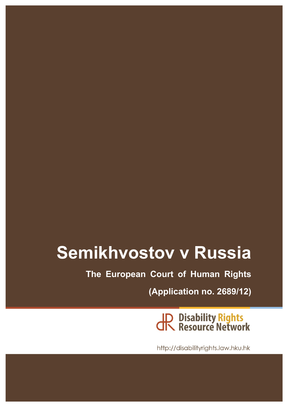# **Semikhvostov v Russia**

**The European Court of Human Rights**

**(Application no. 2689/12)**

**JP Disability Rights<br>CR Resource Network** 

http://disabilityrights.law.hku.hk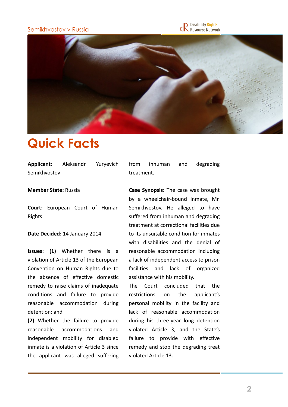### Semikhvostov v Russia





# **Quick Facts**

Applicant: Aleksandr Yuryevich Semikhvostov

#### **Member State: Russia**

**Court:** European Court of Human Rights

#### Date Decided: 14 January 2014

**Issues:** (1) Whether there is a violation of Article 13 of the European Convention on Human Rights due to the absence of effective domestic remedy to raise claims of inadequate conditions and failure to provide reasonable accommodation during detention; and

**(2)** Whether the failure to provide reasonable accommodations and independent mobility for disabled inmate is a violation of Article 3 since the applicant was alleged suffering from inhuman and degrading treatment.

**Case Synopsis:** The case was brought by a wheelchair-bound inmate, Mr. Semikhvostov. He alleged to have suffered from inhuman and degrading treatment at correctional facilities due to its unsuitable condition for inmates with disabilities and the denial of reasonable accommodation including a lack of independent access to prison facilities and lack of organized assistance with his mobility.

The Court concluded that the restrictions on the applicant's personal mobility in the facility and lack of reasonable accommodation during his three-year long detention violated Article 3, and the State's failure to provide with effective remedy and stop the degrading treat violated Article 13.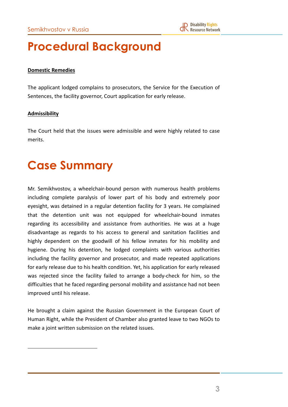# **Procedural Background**

### **Domestic Remedies**

The applicant lodged complains to prosecutors, the Service for the Execution of Sentences, the facility governor, Court application for early release.

#### **Admissibility**

The Court held that the issues were admissible and were highly related to case merits.

## **Case Summary**

Mr. Semikhvostov, a wheelchair-bound person with numerous health problems including complete paralysis of lower part of his body and extremely poor eyesight, was detained in a regular detention facility for 3 years. He complained that the detention unit was not equipped for wheelchair-bound inmates regarding its accessibility and assistance from authorities. He was at a huge disadvantage as regards to his access to general and sanitation facilities and highly dependent on the goodwill of his fellow inmates for his mobility and hygiene. During his detention, he lodged complaints with various authorities including the facility governor and prosecutor, and made repeated applications for early release due to his health condition. Yet, his application for early released was rejected since the facility failed to arrange a body-check for him, so the difficulties that he faced regarding personal mobility and assistance had not been improved until his release.

He brought a claim against the Russian Government in the European Court of Human Right, while the President of Chamber also granted leave to two NGOs to make a joint written submission on the related issues.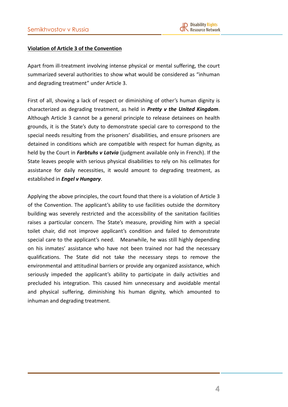### **Violation of Article 3 of the Convention**

Apart from ill-treatment involving intense physical or mental suffering, the court summarized several authorities to show what would be considered as "inhuman and degrading treatment" under Article 3.

First of all, showing a lack of respect or diminishing of other's human dignity is characterized as degrading treatment, as held in *Pretty v the United Kingdom*. Although Article 3 cannot be a general principle to release detainees on health grounds, it is the State's duty to demonstrate special care to correspond to the special needs resulting from the prisoners' disabilities, and ensure prisoners are detained in conditions which are compatible with respect for human dignity, as held by the Court in *Farbtuhs v Latvia* (judgment available only in French). If the State leaves people with serious physical disabilities to rely on his cellmates for assistance for daily necessities, it would amount to degrading treatment, as established in *Engel v Hungary*.

Applying the above principles, the court found that there is a violation of Article 3 of the Convention. The applicant's ability to use facilities outside the dormitory building was severely restricted and the accessibility of the sanitation facilities raises a particular concern. The State's measure, providing him with a special toilet chair, did not improve applicant's condition and failed to demonstrate special care to the applicant's need. Meanwhile, he was still highly depending on his inmates' assistance who have not been trained nor had the necessary qualifications. The State did not take the necessary steps to remove the environmental and attitudinal barriers or provide any organized assistance, which seriously impeded the applicant's ability to participate in daily activities and precluded his integration. This caused him unnecessary and avoidable mental and physical suffering, diminishing his human dignity, which amounted to inhuman and degrading treatment.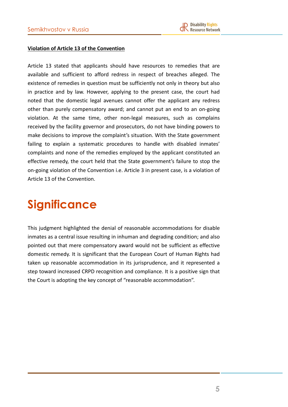### **Violation of Article 13 of the Convention**

Article 13 stated that applicants should have resources to remedies that are available and sufficient to afford redress in respect of breaches alleged. The existence of remedies in question must be sufficiently not only in theory but also in practice and by law. However, applying to the present case, the court had noted that the domestic legal avenues cannot offer the applicant any redress other than purely compensatory award; and cannot put an end to an on-going violation. At the same time, other non-legal measures, such as complains received by the facility governor and prosecutors, do not have binding powers to make decisions to improve the complaint's situation. With the State government failing to explain a systematic procedures to handle with disabled inmates' complaints and none of the remedies employed by the applicant constituted an effective remedy, the court held that the State government's failure to stop the on-going violation of the Convention i.e. Article 3 in present case, is a violation of Article 13 of the Convention.

# **Significance**

This judgment highlighted the denial of reasonable accommodations for disable inmates as a central issue resulting in inhuman and degrading condition; and also pointed out that mere compensatory award would not be sufficient as effective domestic remedy. It is significant that the European Court of Human Rights had taken up reasonable accommodation in its jurisprudence, and it represented a step toward increased CRPD recognition and compliance. It is a positive sign that the Court is adopting the key concept of "reasonable accommodation".